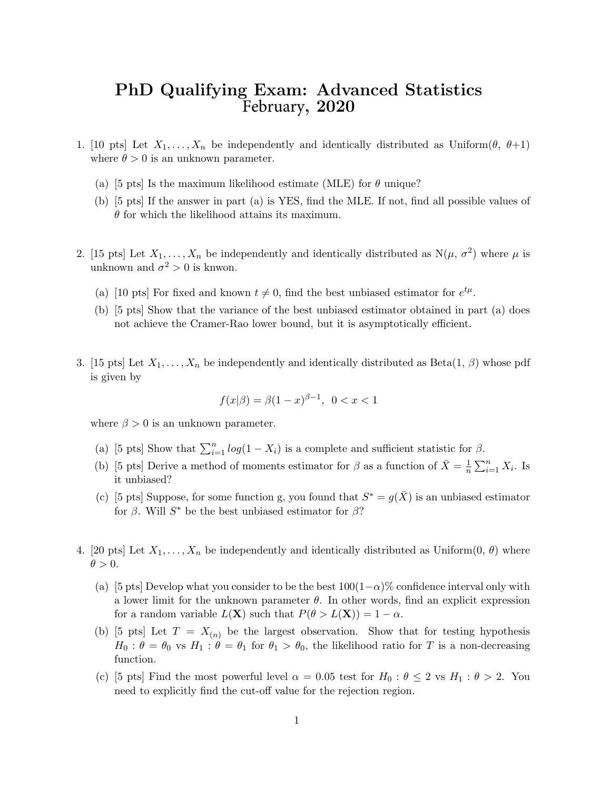# PhD Qualifying Exam: Advanced Statistics February, 2020

- 1. [10 pts] Let  $X_1, \ldots, X_n$  be independently and identically distributed as Uniform $(\theta, \theta+1)$ where  $\theta > 0$  is an unknown parameter.
	- (a) [5 pts] Is the maximum likelihood estimate (MLE) for  $\theta$  unique?
	- (b) [5 pts] If the answer in part (a) is YES, find the MLE. If not, find all possible values of  $\theta$  for which the likelihood attains its maximum.
- 2. [15 pts] Let  $X_1, \ldots, X_n$  be independently and identically distributed as  $N(\mu, \sigma^2)$  where  $\mu$  is unknown and  $\sigma^2 > 0$  is knwon.
	- (a) [10 pts] For fixed and known  $t \neq 0$ , find the best unbiased estimator for  $e^{t\mu}$ .
	- (b) [5 pts] Show that the variance of the best unbiased estimator obtained in part (a) does not achieve the Cramer-Rao lower bound, but it is asymptotically efficient.
- 3. [15 pts] Let  $X_1, \ldots, X_n$  be independently and identically distributed as Beta(1,  $\beta$ ) whose pdf is given by

$$
f(x|\beta) = \beta(1-x)^{\beta-1}, \ \ 0 < x < 1
$$

where  $\beta > 0$  is an unknown parameter.

- (a) [5 pts] Show that  $\sum_{i=1}^{n} log(1 X_i)$  is a complete and sufficient statistic for  $\beta$ .
- (b) [5 pts] Derive a method of moments estimator for  $\beta$  as a function of  $\bar{X} = \frac{1}{n}$  $\frac{1}{n}\sum_{i=1}^n X_i$ . Is it unbiased?
- (c) [5 pts] Suppose, for some function g, you found that  $S^* = g(\bar{X})$  is an unbiased estimator for  $\beta$ . Will  $S^*$  be the best unbiased estimator for  $\beta$ ?
- 4. [20 pts] Let  $X_1, \ldots, X_n$  be independently and identically distributed as Uniform $(0, \theta)$  where  $\theta > 0.$ 
	- (a) [5 pts] Develop what you consider to be the best  $100(1-\alpha)\%$  confidence interval only with a lower limit for the unknown parameter  $\theta$ . In other words, find an explicit expression for a random variable  $L(\mathbf{X})$  such that  $P(\theta > L(\mathbf{X})) = 1 - \alpha$ .
	- (b) [5 pts] Let  $T = X_{(n)}$  be the largest observation. Show that for testing hypothesis  $H_0$ :  $\theta = \theta_0$  vs  $H_1$ :  $\theta = \theta_1$  for  $\theta_1 > \theta_0$ , the likelihood ratio for T is a non-decreasing function.
	- (c) [5 pts] Find the most powerful level  $\alpha = 0.05$  test for  $H_0: \theta \leq 2$  vs  $H_1: \theta > 2$ . You need to explicitly find the cut-off value for the rejection region.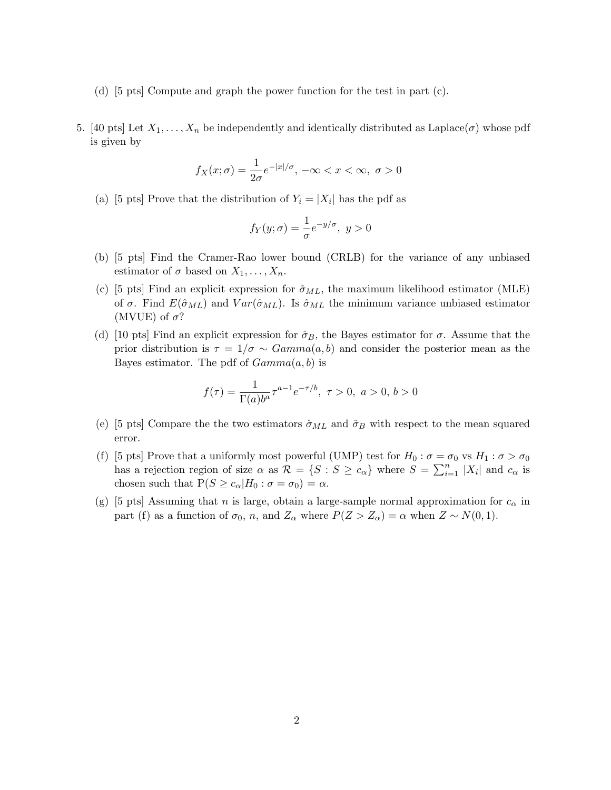- (d) [5 pts] Compute and graph the power function for the test in part (c).
- 5. [40 pts] Let  $X_1, \ldots, X_n$  be independently and identically distributed as Laplace( $\sigma$ ) whose pdf is given by

$$
f_X(x;\sigma) = \frac{1}{2\sigma}e^{-|x|/\sigma}, \ -\infty < x < \infty, \ \sigma > 0
$$

(a) [5 pts] Prove that the distribution of  $Y_i = |X_i|$  has the pdf as

$$
f_Y(y; \sigma) = \frac{1}{\sigma} e^{-y/\sigma}, \ y > 0
$$

- (b) [5 pts] Find the Cramer-Rao lower bound (CRLB) for the variance of any unbiased estimator of  $\sigma$  based on  $X_1, \ldots, X_n$ .
- (c) [5 pts] Find an explicit expression for  $\hat{\sigma}_{ML}$ , the maximum likelihood estimator (MLE) of  $\sigma$ . Find  $E(\hat{\sigma}_{ML})$  and  $Var(\hat{\sigma}_{ML})$ . Is  $\hat{\sigma}_{ML}$  the minimum variance unbiased estimator (MVUE) of  $\sigma$ ?
- (d) [10 pts] Find an explicit expression for  $\hat{\sigma}_B$ , the Bayes estimator for  $\sigma$ . Assume that the prior distribution is  $\tau = 1/\sigma \sim Gamma(a, b)$  and consider the posterior mean as the Bayes estimator. The pdf of  $Gamma(a, b)$  is

$$
f(\tau)=\frac{1}{\Gamma(a)b^a}\tau^{a-1}e^{-\tau/b},\ \tau>0,\ a>0,\ b>0
$$

- (e) [5 pts] Compare the the two estimators  $\hat{\sigma}_{ML}$  and  $\hat{\sigma}_B$  with respect to the mean squared error.
- (f) [5 pts] Prove that a uniformly most powerful (UMP) test for  $H_0: \sigma = \sigma_0$  vs  $H_1: \sigma > \sigma_0$ has a rejection region of size  $\alpha$  as  $\mathcal{R} = \{S : S \ge c_{\alpha}\}\$  where  $S = \sum_{i=1}^{n} |X_i|$  and  $c_{\alpha}$  is chosen such that  $P(S \geq c_{\alpha} | H_0 : \sigma = \sigma_0) = \alpha$ .
- (g) [5 pts] Assuming that n is large, obtain a large-sample normal approximation for  $c_{\alpha}$  in part (f) as a function of  $\sigma_0$ , n, and  $Z_\alpha$  where  $P(Z > Z_\alpha) = \alpha$  when  $Z \sim N(0, 1)$ .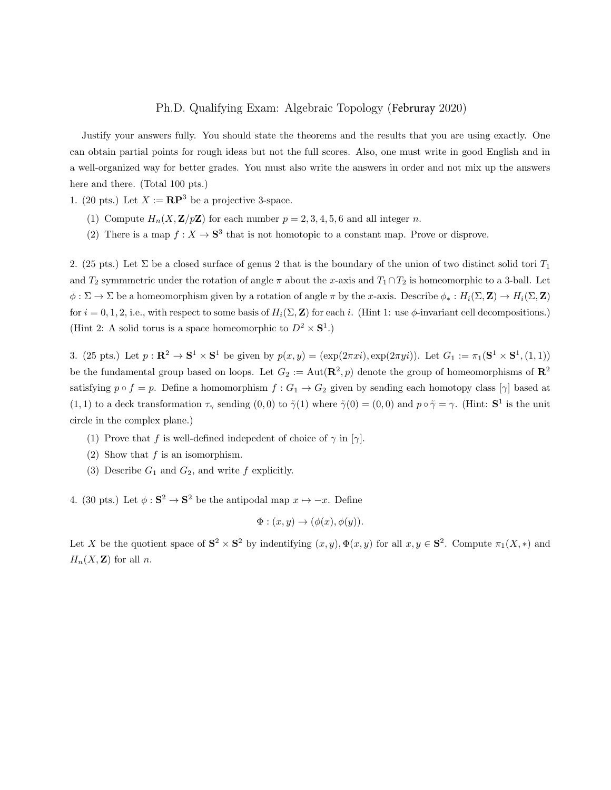#### Ph.D. Qualifying Exam: Algebraic Topology (Februray 2020)

Justify your answers fully. You should state the theorems and the results that you are using exactly. One can obtain partial points for rough ideas but not the full scores. Also, one must write in good English and in a well-organized way for better grades. You must also write the answers in order and not mix up the answers here and there. (Total 100 pts.)

1. (20 pts.) Let  $X := \mathbb{RP}^3$  be a projective 3-space.

- (1) Compute  $H_n(X, \mathbf{Z}/p\mathbf{Z})$  for each number  $p = 2, 3, 4, 5, 6$  and all integer n.
- (2) There is a map  $f: X \to \mathbf{S}^3$  that is not homotopic to a constant map. Prove or disprove.

2. (25 pts.) Let  $\Sigma$  be a closed surface of genus 2 that is the boundary of the union of two distinct solid tori  $T_1$ and  $T_2$  symmmetric under the rotation of angle  $\pi$  about the x-axis and  $T_1 \cap T_2$  is homeomorphic to a 3-ball. Let  $\phi : \Sigma \to \Sigma$  be a homeomorphism given by a rotation of angle  $\pi$  by the x-axis. Describe  $\phi_* : H_i(\Sigma, \mathbb{Z}) \to H_i(\Sigma, \mathbb{Z})$ for  $i = 0, 1, 2,$  i.e., with respect to some basis of  $H_i(\Sigma, \mathbf{Z})$  for each i. (Hint 1: use  $\phi$ -invariant cell decompositions.) (Hint 2: A solid torus is a space homeomorphic to  $D^2 \times S^1$ .)

3. (25 pts.) Let  $p: \mathbb{R}^2 \to \mathbb{S}^1 \times \mathbb{S}^1$  be given by  $p(x, y) = (\exp(2\pi x i), \exp(2\pi y i))$ . Let  $G_1 := \pi_1(\mathbb{S}^1 \times \mathbb{S}^1, (1, 1))$ be the fundamental group based on loops. Let  $G_2 := \text{Aut}(\mathbb{R}^2, p)$  denote the group of homeomorphisms of  $\mathbb{R}^2$ satisfying  $p \circ f = p$ . Define a homomorphism  $f : G_1 \to G_2$  given by sending each homotopy class  $[\gamma]$  based at (1, 1) to a deck transformation  $\tau_{\gamma}$  sending  $(0,0)$  to  $\tilde{\gamma}(1)$  where  $\tilde{\gamma}(0) = (0,0)$  and  $p \circ \tilde{\gamma} = \gamma$ . (Hint:  $S^1$  is the unit circle in the complex plane.)

- (1) Prove that f is well-defined indepedent of choice of  $\gamma$  in  $[\gamma]$ .
- (2) Show that  $f$  is an isomorphism.
- (3) Describe  $G_1$  and  $G_2$ , and write f explicitly.
- 4. (30 pts.) Let  $\phi : \mathbf{S}^2 \to \mathbf{S}^2$  be the antipodal map  $x \mapsto -x$ . Define

$$
\Phi : (x, y) \to (\phi(x), \phi(y)).
$$

Let X be the quotient space of  $S^2 \times S^2$  by indentifying  $(x, y), \Phi(x, y)$  for all  $x, y \in S^2$ . Compute  $\pi_1(X, *)$  and  $H_n(X, \mathbf{Z})$  for all n.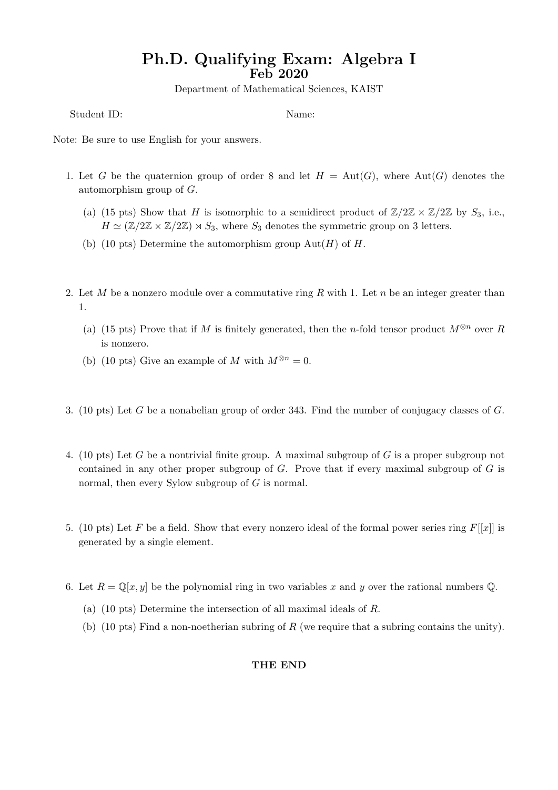## Ph.D. Qualifying Exam: Algebra I Feb 2020

Department of Mathematical Sciences, KAIST

Student ID: Name:

Note: Be sure to use English for your answers.

- 1. Let G be the quaternion group of order 8 and let  $H = \text{Aut}(G)$ , where  $\text{Aut}(G)$  denotes the automorphism group of G.
	- (a) (15 pts) Show that H is isomorphic to a semidirect product of  $\mathbb{Z}/2\mathbb{Z} \times \mathbb{Z}/2\mathbb{Z}$  by  $S_3$ , i.e.,  $H \simeq (\mathbb{Z}/2\mathbb{Z} \times \mathbb{Z}/2\mathbb{Z}) \rtimes S_3$ , where  $S_3$  denotes the symmetric group on 3 letters.
	- (b) (10 pts) Determine the automorphism group  $Aut(H)$  of H.
- 2. Let M be a nonzero module over a commutative ring R with 1. Let n be an integer greater than 1.
	- (a) (15 pts) Prove that if M is finitely generated, then the n-fold tensor product  $M^{\otimes n}$  over R is nonzero.
	- (b) (10 pts) Give an example of M with  $M^{\otimes n} = 0$ .
- 3. (10 pts) Let G be a nonabelian group of order 343. Find the number of conjugacy classes of G.
- 4. (10 pts) Let G be a nontrivial finite group. A maximal subgroup of G is a proper subgroup not contained in any other proper subgroup of  $G$ . Prove that if every maximal subgroup of  $G$  is normal, then every Sylow subgroup of G is normal.
- 5. (10 pts) Let F be a field. Show that every nonzero ideal of the formal power series ring  $F[[x]]$  is generated by a single element.
- 6. Let  $R = \mathbb{Q}[x, y]$  be the polynomial ring in two variables x and y over the rational numbers  $\mathbb{Q}$ .
	- (a) (10 pts) Determine the intersection of all maximal ideals of R.
	- (b) (10 pts) Find a non-noetherian subring of R (we require that a subring contains the unity).

## THE END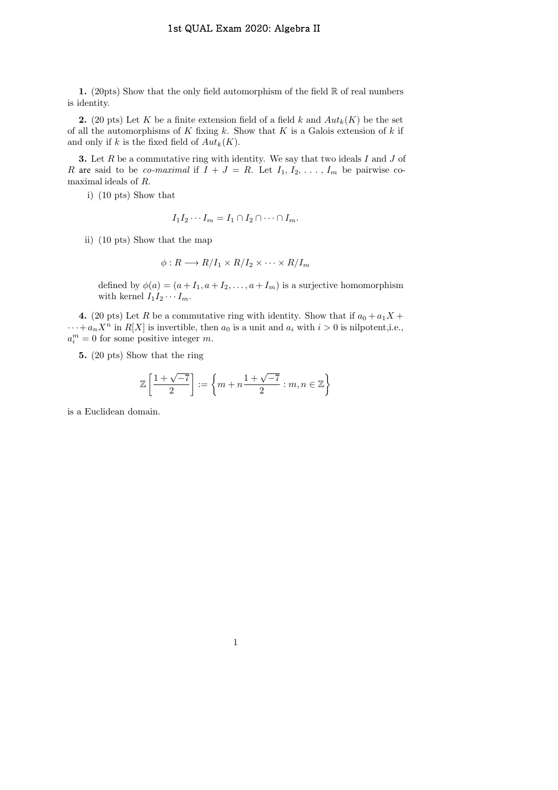1. (20pts) Show that the only field automorphism of the field  $\mathbb R$  of real numbers is identity.

2. (20 pts) Let K be a finite extension field of a field k and  $Aut_k(K)$  be the set of all the automorphisms of K fixing k. Show that K is a Galois extension of k if and only if k is the fixed field of  $Aut_k(K)$ .

**3.** Let  $R$  be a commutative ring with identity. We say that two ideals  $I$  and  $J$  of R are said to be *co-maximal* if  $I + J = R$ . Let  $I_1, I_2, \ldots, I_m$  be pairwise comaximal ideals of R.

i) (10 pts) Show that

$$
I_1I_2\cdots I_m=I_1\cap I_2\cap\cdots\cap I_m.
$$

ii) (10 pts) Show that the map

$$
\phi: R \longrightarrow R/I_1 \times R/I_2 \times \cdots \times R/I_m
$$

defined by  $\phi(a) = (a + I_1, a + I_2, \dots, a + I_m)$  is a surjective homomorphism with kernel  $I_1I_2\cdots I_m$ .

4. (20 pts) Let R be a commutative ring with identity. Show that if  $a_0 + a_1X +$  $\cdots + a_n X^n$  in  $R[X]$  is invertible, then  $a_0$  is a unit and  $a_i$  with  $i > 0$  is nilpotent, i.e.,  $a_i^m = 0$  for some positive integer m.

5. (20 pts) Show that the ring

$$
\mathbb{Z}\left[\frac{1+\sqrt{-7}}{2}\right] := \left\{m + n\frac{1+\sqrt{-7}}{2} : m, n \in \mathbb{Z}\right\}
$$

is a Euclidean domain.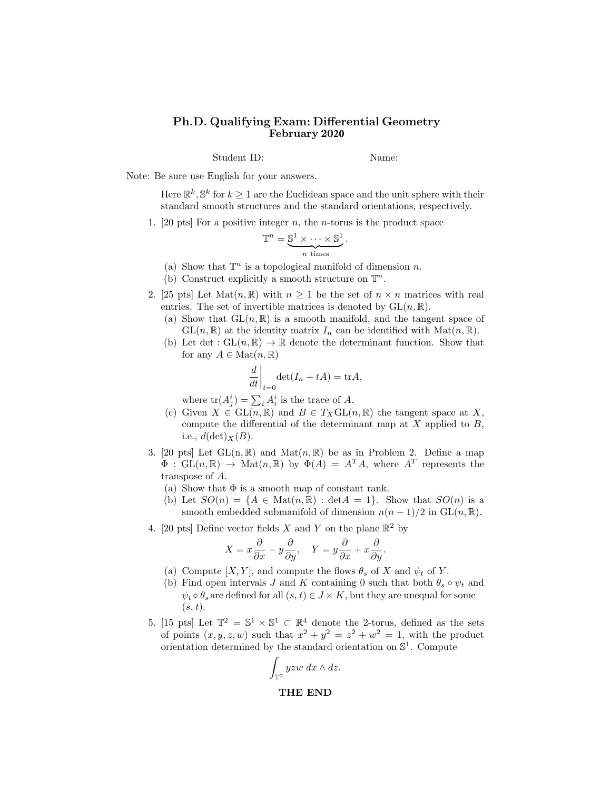#### Ph.D. Qualifying Exam: Differential Geometry February 20**20**

Student ID: Name:

Note: Be sure use English for your answers.

Here  $\mathbb{R}^k$ ,  $\mathbb{S}^k$  for  $k \geq 1$  are the Euclidean space and the unit sphere with their standard smooth structures and the standard orientations, respectively.

1. [20 pts] For a positive integer  $n$ , the *n*-torus is the product space

$$
\mathbb{T}^n = \underbrace{\mathbb{S}^1 \times \cdots \times \mathbb{S}^1}_{n \text{ times}}.
$$

- (a) Show that  $\mathbb{T}^n$  is a topological manifold of dimension n.
- (b) Construct explicitly a smooth structure on  $\mathbb{T}^n$ .
- 2. [25 pts] Let  $\text{Mat}(n, \mathbb{R})$  with  $n \geq 1$  be the set of  $n \times n$  matrices with real entries. The set of invertible matrices is denoted by  $GL(n, \mathbb{R})$ .
	- (a) Show that  $GL(n, \mathbb{R})$  is a smooth manifold, and the tangent space of  $GL(n,\mathbb{R})$  at the identity matrix  $I_n$  can be identified with  $Mat(n,\mathbb{R})$ .
	- (b) Let det :  $GL(n,\mathbb{R}) \to \mathbb{R}$  denote the determinant function. Show that for any  $A \in \text{Mat}(n, \mathbb{R})$

$$
\left. \frac{d}{dt} \right|_{t=0} \det(I_n + tA) = \text{tr}A,
$$

where  $tr(A_j^i) = \sum_i A_i^i$  is the trace of A.

- (c) Given  $X \in GL(n, \mathbb{R})$  and  $B \in T_XGL(n, \mathbb{R})$  the tangent space at X, compute the differential of the determinant map at  $X$  applied to  $B$ , i.e.,  $d(\det)_X(B)$ .
- 3. [20 pts] Let  $GL(n, \mathbb{R})$  and  $Mat(n, \mathbb{R})$  be as in Problem 2. Define a map  $\Phi: GL(n,\mathbb{R}) \to Mat(n,\mathbb{R})$  by  $\Phi(A) = A^T A$ , where  $A^T$  represents the transpose of A.
	- (a) Show that  $\Phi$  is a smooth map of constant rank.
	- (b) Let  $SO(n) = \{A \in \text{Mat}(n,\mathbb{R}) : \text{det}A = 1\}$ . Show that  $SO(n)$  is a smooth embedded submanifold of dimension  $n(n-1)/2$  in  $GL(n,\mathbb{R})$ .
- 4. [20 pts] Define vector fields X and Y on the plane  $\mathbb{R}^2$  by

$$
X = x\frac{\partial}{\partial x} - y\frac{\partial}{\partial y}, \quad Y = y\frac{\partial}{\partial x} + x\frac{\partial}{\partial y}.
$$

- (a) Compute  $[X, Y]$ , and compute the flows  $\theta_s$  of X and  $\psi_t$  of Y.
- (b) Find open intervals J and K containing 0 such that both  $\theta_s \circ \psi_t$  and  $\psi_t \circ \theta_s$  are defined for all  $(s, t) \in J \times K$ , but they are unequal for some  $(s, t)$ .
- 5. [15 pts] Let  $\mathbb{T}^2 = \mathbb{S}^1 \times \mathbb{S}^1 \subset \mathbb{R}^4$  denote the 2-torus, defined as the sets of points  $(x, y, z, w)$  such that  $x^2 + y^2 = z^2 + w^2 = 1$ , with the product orientation determined by the standard orientation on  $\mathbb{S}^1$ . Compute

$$
\int_{\mathbb{T}^2} yzw \, dx \wedge dz.
$$
THE END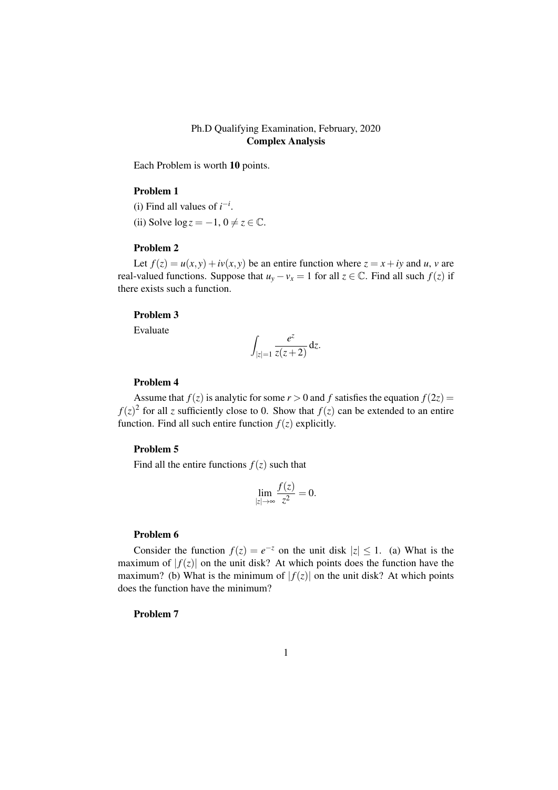## Ph.D Qualifying Examination, February, 2020 Complex Analysis

Each Problem is worth 10 points.

### Problem 1

(i) Find all values of  $i^{-i}$ .

(ii) Solve  $\log z = -1, 0 \neq z \in \mathbb{C}$ .

#### Problem 2

Let  $f(z) = u(x, y) + iv(x, y)$  be an entire function where  $z = x + iy$  and  $u, v$  are real-valued functions. Suppose that  $u_y - v_x = 1$  for all  $z \in \mathbb{C}$ . Find all such  $f(z)$  if there exists such a function.

## Problem 3

Evaluate

$$
\int_{|z|=1} \frac{e^z}{z(z+2)} \, \mathrm{d} z.
$$

#### Problem 4

Assume that  $f(z)$  is analytic for some  $r > 0$  and f satisfies the equation  $f(2z) =$  $f(z)^2$  for all *z* sufficiently close to 0. Show that  $f(z)$  can be extended to an entire function. Find all such entire function  $f(z)$  explicitly.

## Problem 5

Find all the entire functions  $f(z)$  such that

$$
\lim_{|z|\to\infty}\frac{f(z)}{z^2}=0.
$$

#### Problem 6

Consider the function  $f(z) = e^{-z}$  on the unit disk  $|z| \leq 1$ . (a) What is the maximum of  $|f(z)|$  on the unit disk? At which points does the function have the maximum? (b) What is the minimum of  $|f(z)|$  on the unit disk? At which points does the function have the minimum?

## Problem 7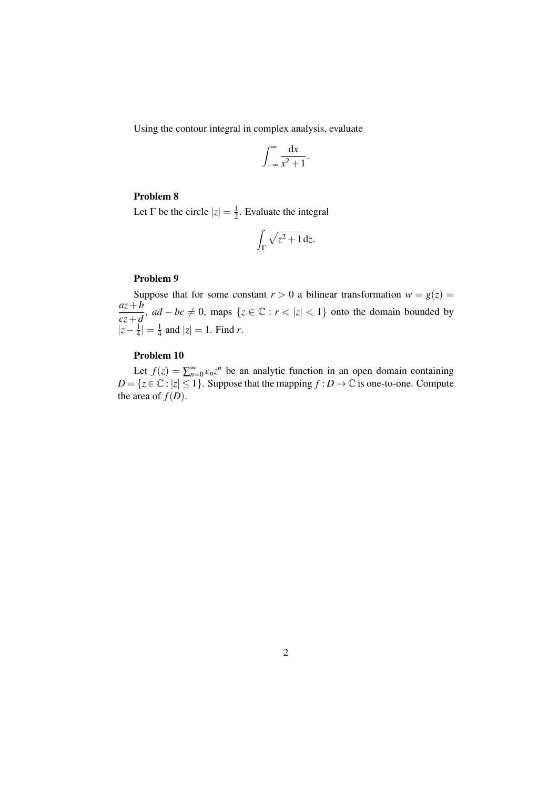Using the contour integral in complex analysis, evaluate

$$
\int_{-\infty}^{\infty} \frac{\mathrm{d}x}{x^2 + 1}.
$$

#### Problem 8

Let  $\Gamma$  be the circle  $|z| = \frac{1}{2}$  $\frac{1}{2}$ . Evaluate the integral

$$
\int_{\Gamma} \sqrt{z^2 + 1} \, \mathrm{d}z.
$$

#### Problem 9

Suppose that for some constant  $r > 0$  a bilinear transformation  $w = g(z)$ *az*+*b*  $\frac{az+b}{cz+d}$ , *ad* − *bc* ≠ 0, maps {*z* ∈  $\mathbb{C}$  : *r* < |*z*| < 1} onto the domain bounded by  $|z-\frac{1}{4}|$  $\frac{1}{4}|=\frac{1}{4}$  $\frac{1}{4}$  and  $|z| = 1$ . Find *r*.

## Problem 10

Let  $f(z) = \sum_{n=0}^{\infty} c_n z^n$  be an analytic function in an open domain containing  $D = \{z \in \mathbb{C} : |z| \leq 1\}$ . Suppose that the mapping  $f : D \to \mathbb{C}$  is one-to-one. Compute the area of  $f(D)$ .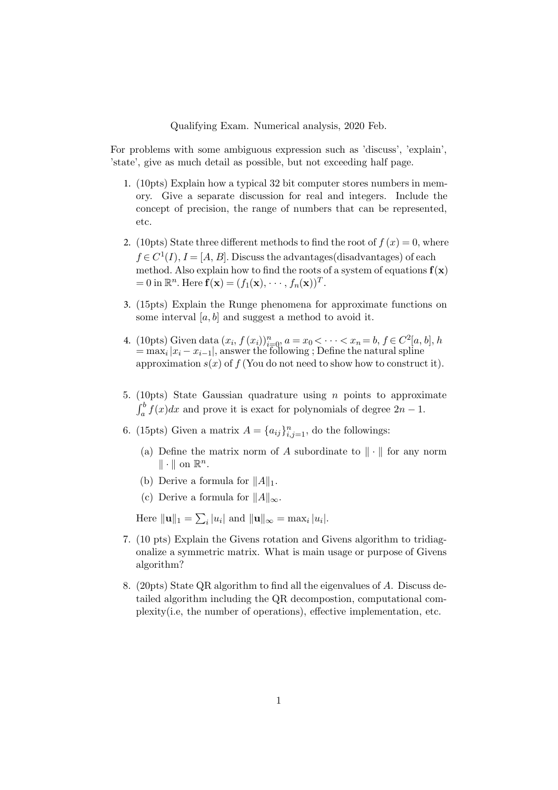Qualifying Exam. Numerical analysis, 2020 Feb.

For problems with some ambiguous expression such as 'discuss', 'explain', 'state', give as much detail as possible, but not exceeding half page.

- 1. (10pts) Explain how a typical 32 bit computer stores numbers in memory. Give a separate discussion for real and integers. Include the concept of precision, the range of numbers that can be represented, etc.
- 2. (10pts) State three different methods to find the root of  $f(x) = 0$ , where  $f \in C^1(I)$ ,  $I = [A, B]$ . Discuss the advantages(disadvantages) of each method. Also explain how to find the roots of a system of equations  $f(x)$  $= 0$  in  $\mathbb{R}^n$ . Here  $\mathbf{f}(\mathbf{x}) = (f_1(\mathbf{x}), \cdots, f_n(\mathbf{x}))^T$ .
- 3. (15pts) Explain the Runge phenomena for approximate functions on some interval  $[a, b]$  and suggest a method to avoid it.
- 4. (10pts) Given data  $(x_i, f(x_i))_{i=0}^n$ ,  $a = x_0 < \cdots < x_n = b, f \in C^2[a, b], h$  $=\max_i |x_i - x_{i-1}|$ , answer the following ; Define the natural spline approximation  $s(x)$  of  $f$  (You do not need to show how to construct it).
- 5. (10pts) State Gaussian quadrature using n points to approximate  $\int_a^b f(x)dx$  and prove it is exact for polynomials of degree  $2n-1$ .
- 6. (15pts) Given a matrix  $A = \{a_{ij}\}_{i,j=1}^n$ , do the followings:
	- (a) Define the matrix norm of A subordinate to  $\|\cdot\|$  for any norm  $\|\cdot\|$  on  $\mathbb{R}^n$ .
	- (b) Derive a formula for  $||A||_1$ .
	- (c) Derive a formula for  $||A||_{\infty}$ .

Here  $\|\mathbf{u}\|_1 = \sum_i |u_i|$  and  $\|\mathbf{u}\|_{\infty} = \max_i |u_i|$ .

- 7. (10 pts) Explain the Givens rotation and Givens algorithm to tridiagonalize a symmetric matrix. What is main usage or purpose of Givens algorithm?
- 8. (20pts) State QR algorithm to find all the eigenvalues of A. Discuss detailed algorithm including the QR decompostion, computational complexity(i.e, the number of operations), effective implementation, etc.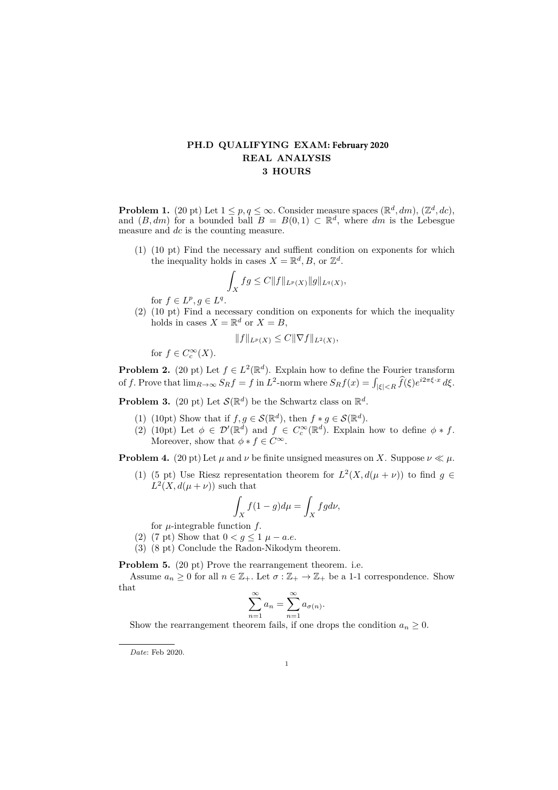## **PH.D QUALIFYING EXAM: February 2020 REAL ANALYSIS 3 HOURS**

**Problem 1.** (20 pt) Let  $1 \leq p, q \leq \infty$ . Consider measure spaces ( $\mathbb{R}^d, dm$ ), ( $\mathbb{Z}^d, dc$ ), and  $(B, dm)$  for a bounded ball  $B = B(0, 1) \subset \mathbb{R}^d$ , where  $dm$  is the Lebesgue measure and *dc* is the counting measure.

(1) (10 pt) Find the necessary and suffient condition on exponents for which the inequality holds in cases  $X = \mathbb{R}^d, B$ , or  $\mathbb{Z}^d$ .

$$
\int_X fg \le C \|f\|_{L^p(X)} \|g\|_{L^q(X)},
$$

for  $f \in L^p, g \in L^q$ .

(2) (10 pt) Find a necessary condition on exponents for which the inequality holds in cases  $X = \mathbb{R}^d$  or  $X = B$ ,

$$
||f||_{L^p(X)} \leq C||\nabla f||_{L^2(X)},
$$

for  $f \in C_c^{\infty}(X)$ .

**Problem 2.** (20 pt) Let  $f \in L^2(\mathbb{R}^d)$ . Explain how to define the Fourier transform of f. Prove that  $\lim_{R\to\infty} S_R f = f$  in  $L^2$ -norm where  $S_R f(x) = \int_{|\xi| < R} \hat{f}(\xi) e^{i2\pi \xi \cdot x} d\xi$ .

**Problem 3.** (20 pt) Let  $\mathcal{S}(\mathbb{R}^d)$  be the Schwartz class on  $\mathbb{R}^d$ .

- (1) (10pt) Show that if  $f, g \in \mathcal{S}(\mathbb{R}^d)$ , then  $f * g \in \mathcal{S}(\mathbb{R}^d)$ .
- (2) (10pt) Let  $\phi \in \mathcal{D}'(\mathbb{R}^d)$  and  $f \in C_c^{\infty}(\mathbb{R}^d)$ . Explain how to define  $\phi * f$ . Moreover, show that  $\phi * f \in C^{\infty}$ .

**Problem 4.** (20 pt) Let  $\mu$  and  $\nu$  be finite unsigned measures on *X*. Suppose  $\nu \ll \mu$ .

(1) (5 pt) Use Riesz representation theorem for  $L^2(X, d(\mu + \nu))$  to find  $g \in$  $L^2(X, d(\mu + \nu))$  such that

$$
\int_X f(1-g)d\mu = \int_X fgd\nu,
$$

- for  $\mu$ -integrable function  $f$ .
- (2) (7 pt) Show that  $0 < q \le 1$   $\mu a.e.$
- (3) (8 pt) Conclude the Radon-Nikodym theorem.

**Problem 5.** (20 pt) Prove the rearrangement theorem. i.e.

Assume  $a_n \geq 0$  for all  $n \in \mathbb{Z}_+$ . Let  $\sigma : \mathbb{Z}_+ \to \mathbb{Z}_+$  be a 1-1 correspondence. Show that

$$
\sum_{n=1}^{\infty} a_n = \sum_{n=1}^{\infty} a_{\sigma(n)}
$$

*.*

Show the rearrangement theorem fails, if one drops the condition  $a_n \geq 0$ .

*Date*: Feb 2020.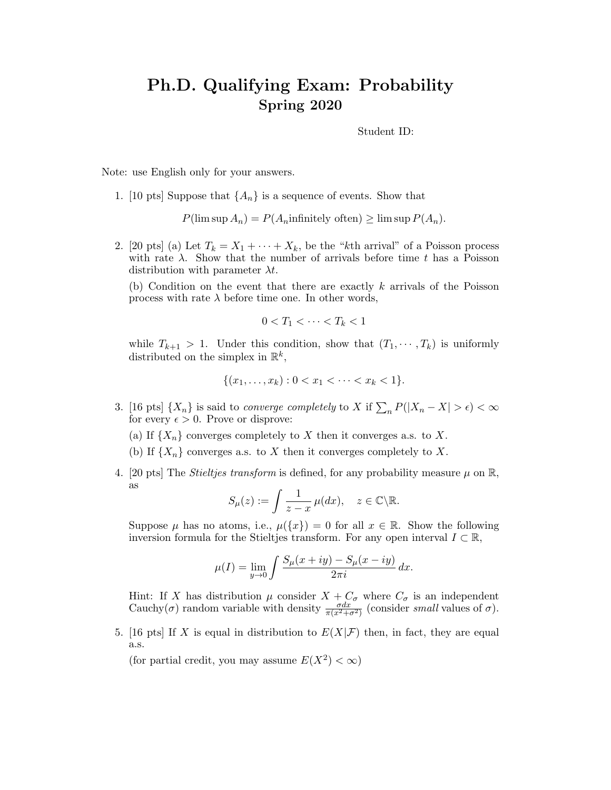# Ph.D. Qualifying Exam: Probability Spring 2020

Student ID:

Note: use English only for your answers.

1. [10 pts] Suppose that  $\{A_n\}$  is a sequence of events. Show that

 $P(\limsup A_n) = P(A_n \text{infinitely often}) \geq \limsup P(A_n).$ 

2. [20 pts] (a) Let  $T_k = X_1 + \cdots + X_k$ , be the "kth arrival" of a Poisson process with rate  $\lambda$ . Show that the number of arrivals before time t has a Poisson distribution with parameter  $\lambda t$ .

(b) Condition on the event that there are exactly k arrivals of the Poisson process with rate  $\lambda$  before time one. In other words,

$$
0
$$

while  $T_{k+1} > 1$ . Under this condition, show that  $(T_1, \dots, T_k)$  is uniformly distributed on the simplex in  $\mathbb{R}^k$ ,

$$
\{(x_1, \ldots, x_k) : 0 < x_1 < \cdots < x_k < 1\}.
$$

- 3. [16 pts]  $\{X_n\}$  is said to *converge completely* to X if  $\sum_n P(|X_n X| > \epsilon) < \infty$ for every  $\epsilon > 0$ . Prove or disprove:
	- (a) If  $\{X_n\}$  converges completely to X then it converges a.s. to X.
	- (b) If  $\{X_n\}$  converges a.s. to X then it converges completely to X.
- 4. [20 pts] The *Stieltjes transform* is defined, for any probability measure  $\mu$  on  $\mathbb{R}$ , as

$$
S_{\mu}(z) := \int \frac{1}{z - x} \,\mu(dx), \quad z \in \mathbb{C} \backslash \mathbb{R}.
$$

Suppose  $\mu$  has no atoms, i.e.,  $\mu({x}) = 0$  for all  $x \in \mathbb{R}$ . Show the following inversion formula for the Stieltjes transform. For any open interval  $I \subset \mathbb{R}$ ,

$$
\mu(I) = \lim_{y \to 0} \int \frac{S_{\mu}(x+iy) - S_{\mu}(x-iy)}{2\pi i} dx.
$$

Hint: If X has distribution  $\mu$  consider  $X + C_{\sigma}$  where  $C_{\sigma}$  is an independent Cauchy( $\sigma$ ) random variable with density  $\frac{\sigma dx}{\pi(x^2+\sigma^2)}$  (consider small values of  $\sigma$ ).

5. [16 pts] If X is equal in distribution to  $E(X|\mathcal{F})$  then, in fact, they are equal a.s.

(for partial credit, you may assume  $E(X^2) < \infty$ )